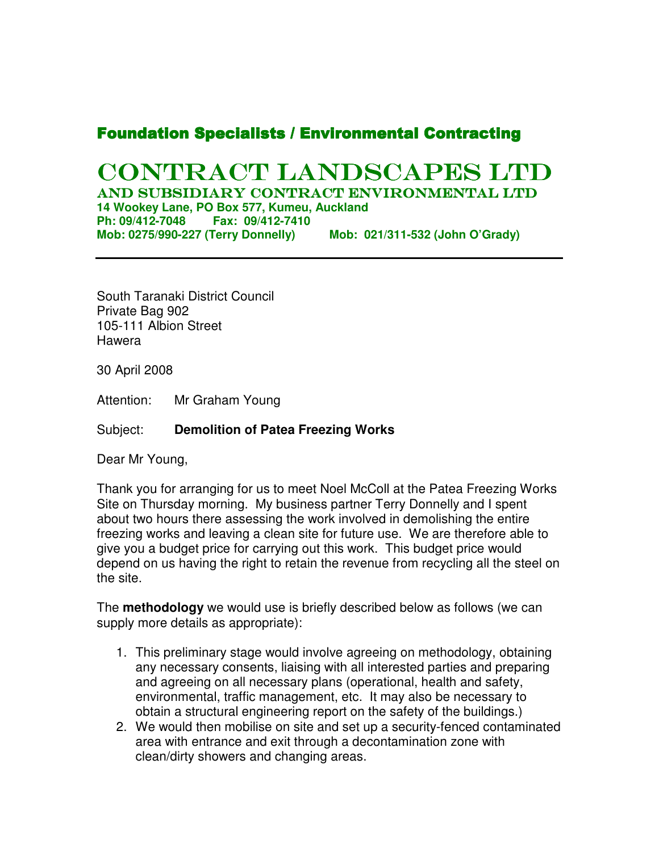## **Foundation Specialists / Environmental Contracting**

# CONTRACT LANDSCAPES LTD

AND SUBSIDIARY CONTRACT ENVIRONMENTAL LTD **14 Wookey Lane, PO Box 577, Kumeu, Auckland Ph: 09/412-7048 Fax: 09/412-7410 Mob: 0275/990-227 (Terry Donnelly) Mob: 021/311-532 (John O'Grady)** 

South Taranaki District Council Private Bag 902 105-111 Albion Street Hawera

30 April 2008

Attention: Mr Graham Young

#### Subject: **Demolition of Patea Freezing Works**

Dear Mr Young,

Thank you for arranging for us to meet Noel McColl at the Patea Freezing Works Site on Thursday morning. My business partner Terry Donnelly and I spent about two hours there assessing the work involved in demolishing the entire freezing works and leaving a clean site for future use. We are therefore able to give you a budget price for carrying out this work. This budget price would depend on us having the right to retain the revenue from recycling all the steel on the site.

The **methodology** we would use is briefly described below as follows (we can supply more details as appropriate):

- 1. This preliminary stage would involve agreeing on methodology, obtaining any necessary consents, liaising with all interested parties and preparing and agreeing on all necessary plans (operational, health and safety, environmental, traffic management, etc. It may also be necessary to obtain a structural engineering report on the safety of the buildings.)
- 2. We would then mobilise on site and set up a security-fenced contaminated area with entrance and exit through a decontamination zone with clean/dirty showers and changing areas.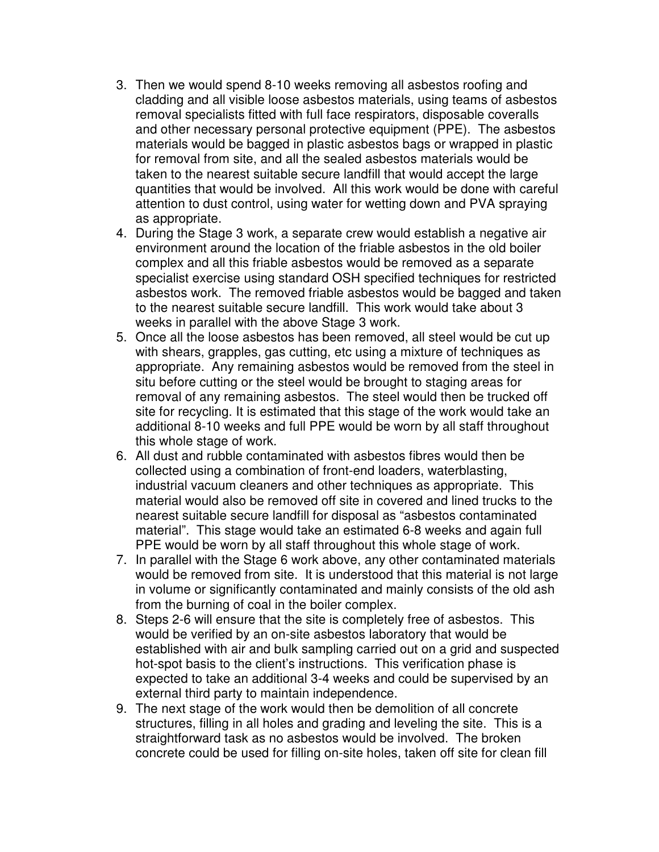- 3. Then we would spend 8-10 weeks removing all asbestos roofing and cladding and all visible loose asbestos materials, using teams of asbestos removal specialists fitted with full face respirators, disposable coveralls and other necessary personal protective equipment (PPE). The asbestos materials would be bagged in plastic asbestos bags or wrapped in plastic for removal from site, and all the sealed asbestos materials would be taken to the nearest suitable secure landfill that would accept the large quantities that would be involved. All this work would be done with careful attention to dust control, using water for wetting down and PVA spraying as appropriate.
- 4. During the Stage 3 work, a separate crew would establish a negative air environment around the location of the friable asbestos in the old boiler complex and all this friable asbestos would be removed as a separate specialist exercise using standard OSH specified techniques for restricted asbestos work. The removed friable asbestos would be bagged and taken to the nearest suitable secure landfill. This work would take about 3 weeks in parallel with the above Stage 3 work.
- 5. Once all the loose asbestos has been removed, all steel would be cut up with shears, grapples, gas cutting, etc using a mixture of techniques as appropriate. Any remaining asbestos would be removed from the steel in situ before cutting or the steel would be brought to staging areas for removal of any remaining asbestos. The steel would then be trucked off site for recycling. It is estimated that this stage of the work would take an additional 8-10 weeks and full PPE would be worn by all staff throughout this whole stage of work.
- 6. All dust and rubble contaminated with asbestos fibres would then be collected using a combination of front-end loaders, waterblasting, industrial vacuum cleaners and other techniques as appropriate. This material would also be removed off site in covered and lined trucks to the nearest suitable secure landfill for disposal as "asbestos contaminated material". This stage would take an estimated 6-8 weeks and again full PPE would be worn by all staff throughout this whole stage of work.
- 7. In parallel with the Stage 6 work above, any other contaminated materials would be removed from site. It is understood that this material is not large in volume or significantly contaminated and mainly consists of the old ash from the burning of coal in the boiler complex.
- 8. Steps 2-6 will ensure that the site is completely free of asbestos. This would be verified by an on-site asbestos laboratory that would be established with air and bulk sampling carried out on a grid and suspected hot-spot basis to the client's instructions. This verification phase is expected to take an additional 3-4 weeks and could be supervised by an external third party to maintain independence.
- 9. The next stage of the work would then be demolition of all concrete structures, filling in all holes and grading and leveling the site. This is a straightforward task as no asbestos would be involved. The broken concrete could be used for filling on-site holes, taken off site for clean fill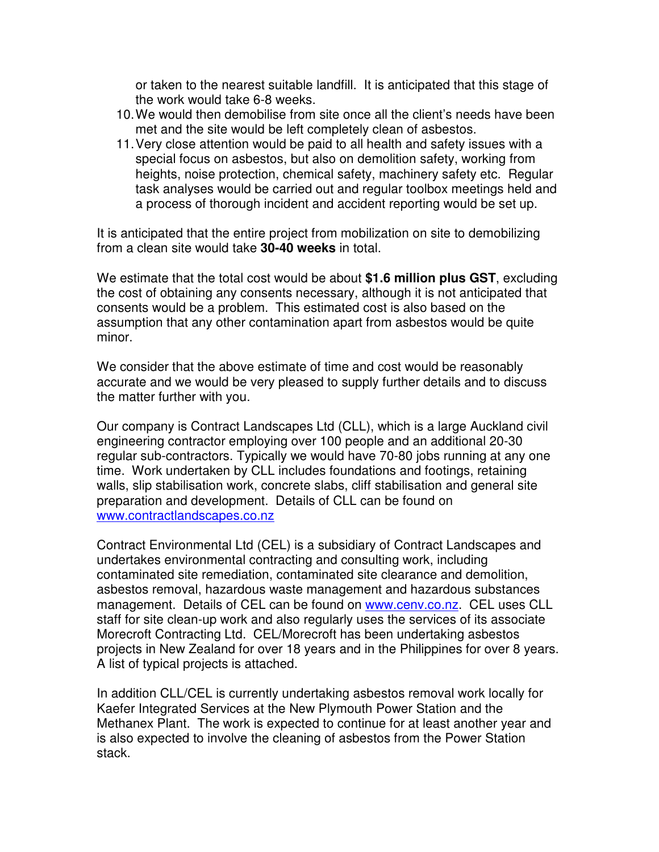or taken to the nearest suitable landfill. It is anticipated that this stage of the work would take 6-8 weeks.

- 10. We would then demobilise from site once all the client's needs have been met and the site would be left completely clean of asbestos.
- 11. Very close attention would be paid to all health and safety issues with a special focus on asbestos, but also on demolition safety, working from heights, noise protection, chemical safety, machinery safety etc. Regular task analyses would be carried out and regular toolbox meetings held and a process of thorough incident and accident reporting would be set up.

It is anticipated that the entire project from mobilization on site to demobilizing from a clean site would take **30-40 weeks** in total.

We estimate that the total cost would be about **\$1.6 million plus GST**, excluding the cost of obtaining any consents necessary, although it is not anticipated that consents would be a problem. This estimated cost is also based on the assumption that any other contamination apart from asbestos would be quite minor.

We consider that the above estimate of time and cost would be reasonably accurate and we would be very pleased to supply further details and to discuss the matter further with you.

Our company is Contract Landscapes Ltd (CLL), which is a large Auckland civil engineering contractor employing over 100 people and an additional 20-30 regular sub-contractors. Typically we would have 70-80 jobs running at any one time. Work undertaken by CLL includes foundations and footings, retaining walls, slip stabilisation work, concrete slabs, cliff stabilisation and general site preparation and development. Details of CLL can be found on www.contractlandscapes.co.nz

Contract Environmental Ltd (CEL) is a subsidiary of Contract Landscapes and undertakes environmental contracting and consulting work, including contaminated site remediation, contaminated site clearance and demolition, asbestos removal, hazardous waste management and hazardous substances management. Details of CEL can be found on www.cenv.co.nz. CEL uses CLL staff for site clean-up work and also regularly uses the services of its associate Morecroft Contracting Ltd. CEL/Morecroft has been undertaking asbestos projects in New Zealand for over 18 years and in the Philippines for over 8 years. A list of typical projects is attached.

In addition CLL/CEL is currently undertaking asbestos removal work locally for Kaefer Integrated Services at the New Plymouth Power Station and the Methanex Plant. The work is expected to continue for at least another year and is also expected to involve the cleaning of asbestos from the Power Station stack.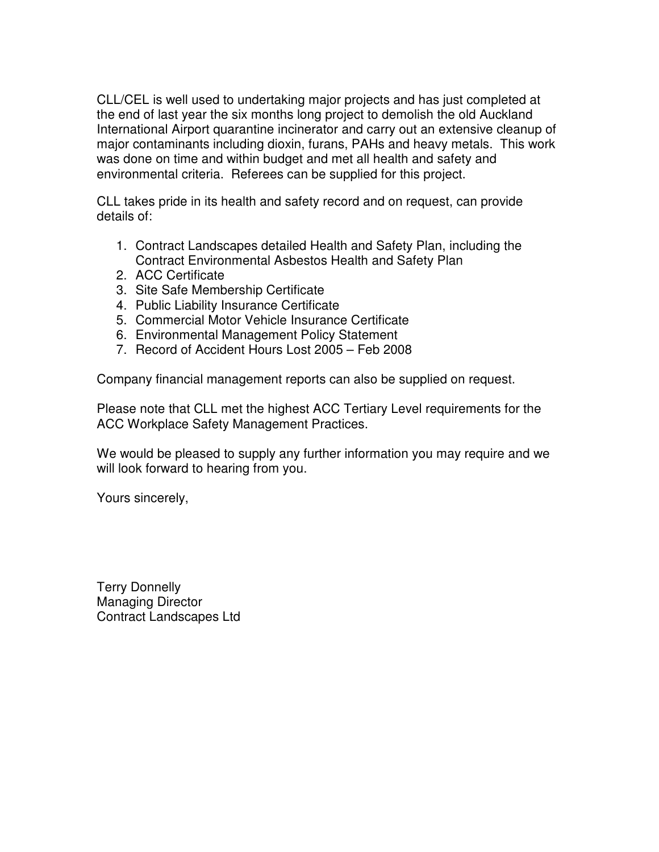CLL/CEL is well used to undertaking major projects and has just completed at the end of last year the six months long project to demolish the old Auckland International Airport quarantine incinerator and carry out an extensive cleanup of major contaminants including dioxin, furans, PAHs and heavy metals. This work was done on time and within budget and met all health and safety and environmental criteria. Referees can be supplied for this project.

CLL takes pride in its health and safety record and on request, can provide details of:

- 1. Contract Landscapes detailed Health and Safety Plan, including the Contract Environmental Asbestos Health and Safety Plan
- 2. ACC Certificate
- 3. Site Safe Membership Certificate
- 4. Public Liability Insurance Certificate
- 5. Commercial Motor Vehicle Insurance Certificate
- 6. Environmental Management Policy Statement
- 7. Record of Accident Hours Lost 2005 Feb 2008

Company financial management reports can also be supplied on request.

Please note that CLL met the highest ACC Tertiary Level requirements for the ACC Workplace Safety Management Practices.

We would be pleased to supply any further information you may require and we will look forward to hearing from you.

Yours sincerely,

Terry Donnelly Managing Director Contract Landscapes Ltd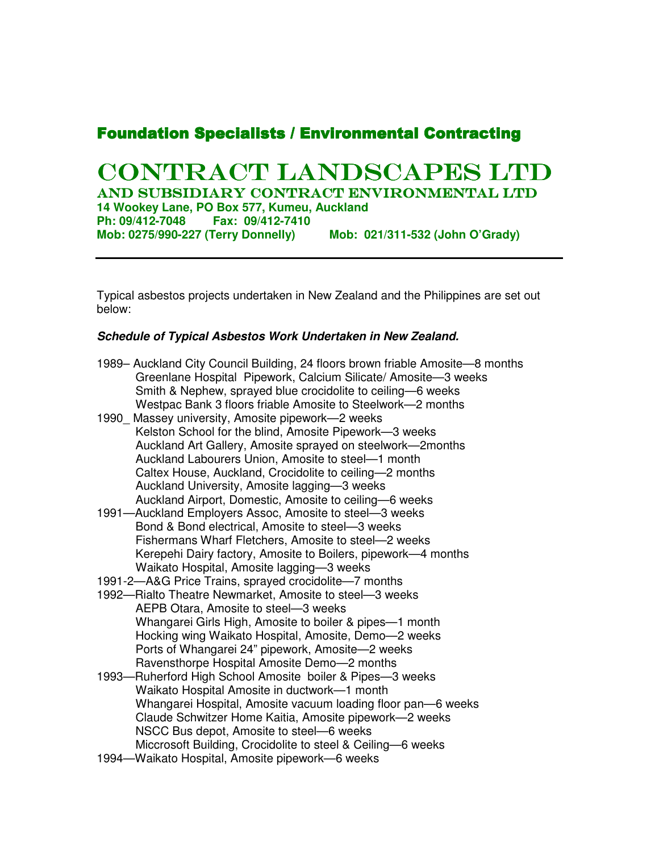### **Foundation Specialists / Environmental Contracting**

# CONTRACT LANDSCAPES LTD

And Subsidiary Contract Environmental Ltd **14 Wookey Lane, PO Box 577, Kumeu, Auckland Ph: 09/412-7048 Fax: 09/412-7410 Mob: 0275/990-227 (Terry Donnelly) Mob: 021/311-532 (John O'Grady)** 

Typical asbestos projects undertaken in New Zealand and the Philippines are set out below:

#### **Schedule of Typical Asbestos Work Undertaken in New Zealand.**

| 1989– Auckland City Council Building, 24 floors brown friable Amosite—8 months |
|--------------------------------------------------------------------------------|
| Greenlane Hospital Pipework, Calcium Silicate/ Amosite-3 weeks                 |
| Smith & Nephew, sprayed blue crocidolite to ceiling—6 weeks                    |
| Westpac Bank 3 floors friable Amosite to Steelwork–2 months                    |

- 1990\_ Massey university, Amosite pipework—2 weeks Kelston School for the blind, Amosite Pipework—3 weeks Auckland Art Gallery, Amosite sprayed on steelwork—2months Auckland Labourers Union, Amosite to steel—1 month Caltex House, Auckland, Crocidolite to ceiling—2 months Auckland University, Amosite lagging—3 weeks Auckland Airport, Domestic, Amosite to ceiling—6 weeks
- 1991—Auckland Employers Assoc, Amosite to steel—3 weeks Bond & Bond electrical, Amosite to steel—3 weeks Fishermans Wharf Fletchers, Amosite to steel—2 weeks Kerepehi Dairy factory, Amosite to Boilers, pipework—4 months Waikato Hospital, Amosite lagging—3 weeks
- 1991-2—A&G Price Trains, sprayed crocidolite—7 months
- 1992—Rialto Theatre Newmarket, Amosite to steel—3 weeks AEPB Otara, Amosite to steel—3 weeks Whangarei Girls High, Amosite to boiler & pipes—1 month Hocking wing Waikato Hospital, Amosite, Demo—2 weeks Ports of Whangarei 24" pipework, Amosite—2 weeks Ravensthorpe Hospital Amosite Demo—2 months
- 1993—Ruherford High School Amosite boiler & Pipes—3 weeks Waikato Hospital Amosite in ductwork—1 month Whangarei Hospital, Amosite vacuum loading floor pan—6 weeks Claude Schwitzer Home Kaitia, Amosite pipework—2 weeks NSCC Bus depot, Amosite to steel—6 weeks Miccrosoft Building, Crocidolite to steel & Ceiling—6 weeks
- 1994—Waikato Hospital, Amosite pipework—6 weeks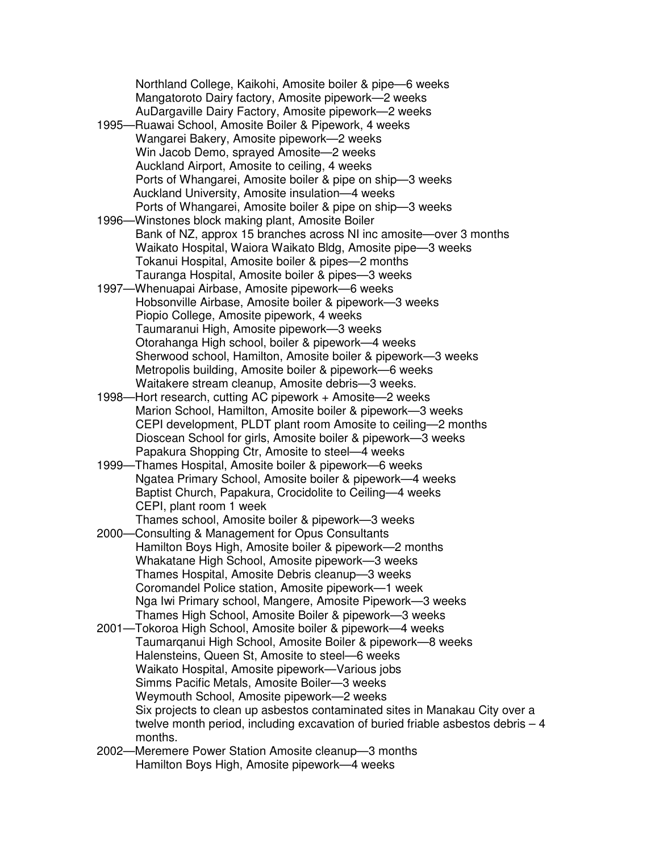Northland College, Kaikohi, Amosite boiler & pipe—6 weeks Mangatoroto Dairy factory, Amosite pipework—2 weeks AuDargaville Dairy Factory, Amosite pipework—2 weeks

- 1995—Ruawai School, Amosite Boiler & Pipework, 4 weeks Wangarei Bakery, Amosite pipework—2 weeks Win Jacob Demo, sprayed Amosite—2 weeks Auckland Airport, Amosite to ceiling, 4 weeks Ports of Whangarei, Amosite boiler & pipe on ship—3 weeks Auckland University, Amosite insulation—4 weeks Ports of Whangarei, Amosite boiler & pipe on ship—3 weeks
- 1996—Winstones block making plant, Amosite Boiler Bank of NZ, approx 15 branches across NI inc amosite—over 3 months Waikato Hospital, Waiora Waikato Bldg, Amosite pipe—3 weeks Tokanui Hospital, Amosite boiler & pipes—2 months Tauranga Hospital, Amosite boiler & pipes—3 weeks
- 1997—Whenuapai Airbase, Amosite pipework—6 weeks Hobsonville Airbase, Amosite boiler & pipework—3 weeks Piopio College, Amosite pipework, 4 weeks Taumaranui High, Amosite pipework—3 weeks Otorahanga High school, boiler & pipework—4 weeks Sherwood school, Hamilton, Amosite boiler & pipework—3 weeks Metropolis building, Amosite boiler & pipework—6 weeks Waitakere stream cleanup, Amosite debris—3 weeks.
- 1998—Hort research, cutting AC pipework + Amosite—2 weeks Marion School, Hamilton, Amosite boiler & pipework—3 weeks CEPI development, PLDT plant room Amosite to ceiling—2 months Dioscean School for girls, Amosite boiler & pipework—3 weeks Papakura Shopping Ctr, Amosite to steel—4 weeks
- 1999—Thames Hospital, Amosite boiler & pipework—6 weeks Ngatea Primary School, Amosite boiler & pipework—4 weeks Baptist Church, Papakura, Crocidolite to Ceiling—4 weeks CEPI, plant room 1 week Thames school, Amosite boiler & pipework—3 weeks
- 2000—Consulting & Management for Opus Consultants Hamilton Boys High, Amosite boiler & pipework—2 months Whakatane High School, Amosite pipework—3 weeks Thames Hospital, Amosite Debris cleanup—3 weeks Coromandel Police station, Amosite pipework—1 week Nga Iwi Primary school, Mangere, Amosite Pipework—3 weeks Thames High School, Amosite Boiler & pipework—3 weeks
- 2001—Tokoroa High School, Amosite boiler & pipework—4 weeks Taumarqanui High School, Amosite Boiler & pipework—8 weeks Halensteins, Queen St, Amosite to steel—6 weeks Waikato Hospital, Amosite pipework—Various jobs Simms Pacific Metals, Amosite Boiler—3 weeks Weymouth School, Amosite pipework—2 weeks Six projects to clean up asbestos contaminated sites in Manakau City over a twelve month period, including excavation of buried friable asbestos debris – 4 months.
- 2002—Meremere Power Station Amosite cleanup—3 months Hamilton Boys High, Amosite pipework—4 weeks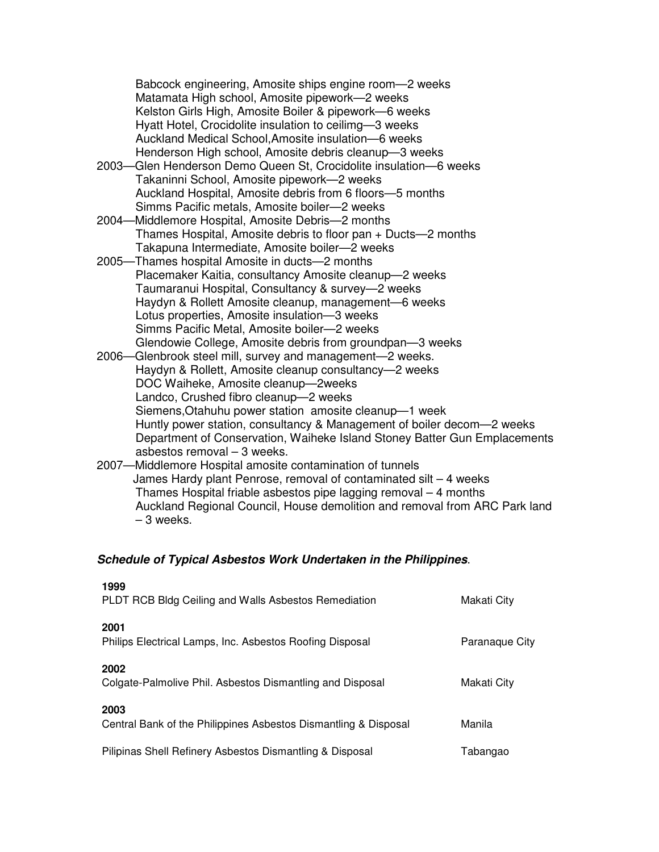Babcock engineering, Amosite ships engine room—2 weeks Matamata High school, Amosite pipework—2 weeks Kelston Girls High, Amosite Boiler & pipework—6 weeks Hyatt Hotel, Crocidolite insulation to ceilimg—3 weeks Auckland Medical School,Amosite insulation—6 weeks Henderson High school, Amosite debris cleanup—3 weeks

- 2003—Glen Henderson Demo Queen St, Crocidolite insulation—6 weeks Takaninni School, Amosite pipework—2 weeks Auckland Hospital, Amosite debris from 6 floors—5 months Simms Pacific metals, Amosite boiler—2 weeks
- 2004—Middlemore Hospital, Amosite Debris—2 months Thames Hospital, Amosite debris to floor pan + Ducts—2 months Takapuna Intermediate, Amosite boiler—2 weeks
- 2005—Thames hospital Amosite in ducts—2 months Placemaker Kaitia, consultancy Amosite cleanup—2 weeks Taumaranui Hospital, Consultancy & survey—2 weeks Haydyn & Rollett Amosite cleanup, management—6 weeks Lotus properties, Amosite insulation—3 weeks Simms Pacific Metal, Amosite boiler—2 weeks Glendowie College, Amosite debris from groundpan—3 weeks
- 2006—Glenbrook steel mill, survey and management—2 weeks. Haydyn & Rollett, Amosite cleanup consultancy—2 weeks DOC Waiheke, Amosite cleanup—2weeks Landco, Crushed fibro cleanup—2 weeks Siemens,Otahuhu power station amosite cleanup—1 week Huntly power station, consultancy & Management of boiler decom—2 weeks Department of Conservation, Waiheke Island Stoney Batter Gun Emplacements asbestos removal – 3 weeks.
- 2007—Middlemore Hospital amosite contamination of tunnels James Hardy plant Penrose, removal of contaminated silt – 4 weeks Thames Hospital friable asbestos pipe lagging removal – 4 months Auckland Regional Council, House demolition and removal from ARC Park land – 3 weeks.

### **Schedule of Typical Asbestos Work Undertaken in the Philippines**.

| 1999<br>PLDT RCB Bldg Ceiling and Walls Asbestos Remediation            | Makati City    |
|-------------------------------------------------------------------------|----------------|
| 2001<br>Philips Electrical Lamps, Inc. Asbestos Roofing Disposal        | Paranaque City |
| 2002<br>Colgate-Palmolive Phil. Asbestos Dismantling and Disposal       | Makati City    |
| 2003<br>Central Bank of the Philippines Asbestos Dismantling & Disposal | Manila         |
| Pilipinas Shell Refinery Asbestos Dismantling & Disposal                | Tabangao       |